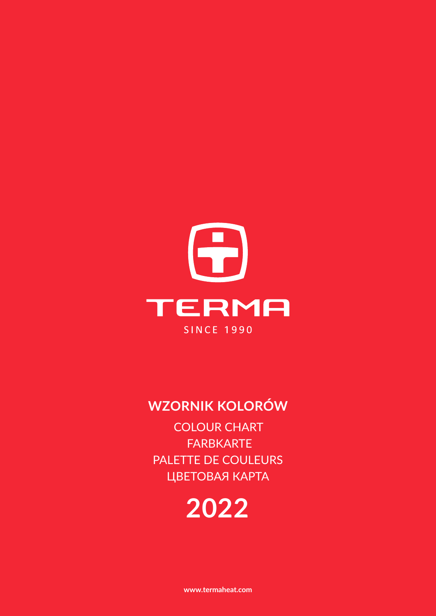

## **WZORNIK KOLORÓW**

COLOUR CHART FARBKARTE PALETTE DE COULEURS ЦВЕТОВАЯ КАРТА

# **2022**

**www.termaheat.com**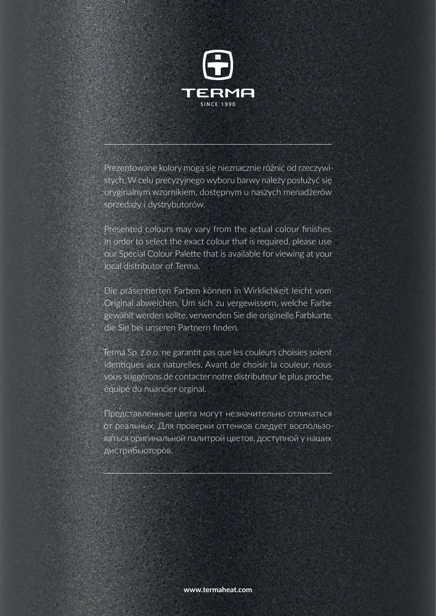

Prezentowane kolory mogą się nieznacznie różnić od rzeczywistych. W celu precyzyjnego wyboru barwy należy posłużyć się oryginalnym wzornikiem, dostępnym u naszych menadżerów sprzedaży i dystrybutorów.

Presented colours may vary from the actual colour finishes. In order to select the exact colour that is required, please use our Special Colour Palette that is available for viewing at your local distributor of Terma.

Die präsentierten Farben können in Wirklichkeit leicht vom Original abweichen. Um sich zu vergewissern, welche Farbe gewählt werden sollte, verwenden Sie die originelle Farbkarte, die Sie bei unseren Partnern finden.

Terma Sp. z.o.o. ne garantit pas que les couleurs choisies soient identiques aux naturelles. Avant de choisir la couleur, nous vous suggérons de contacter notre distributeur le plus proche, équipé du nuancier orginal.

Представленные цвета могут незначительно отличаться от реальных. Для проверки оттенков слeдуeт воспользоваться оригинальнoй палитрой цветов, доступнoй у наших дистрибьюторов.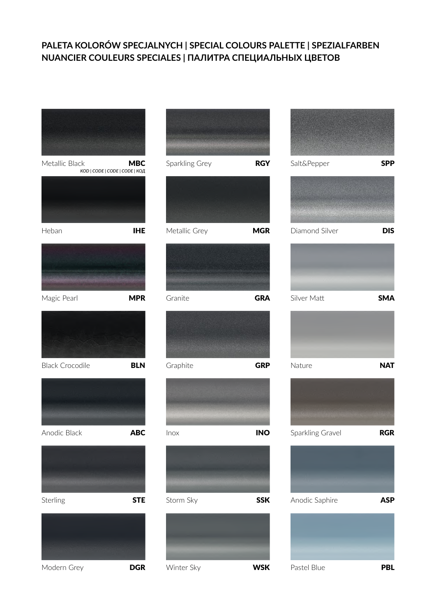#### **PALETA KOLORÓW SPECJALNYCH | SPECIAL COLOURS PALETTE | SPEZIALFARBEN NUANCIER COULEURS SPECIALES | ПАЛИТРА СПЕЦИАЛЬНЫХ ЦВЕТОВ**

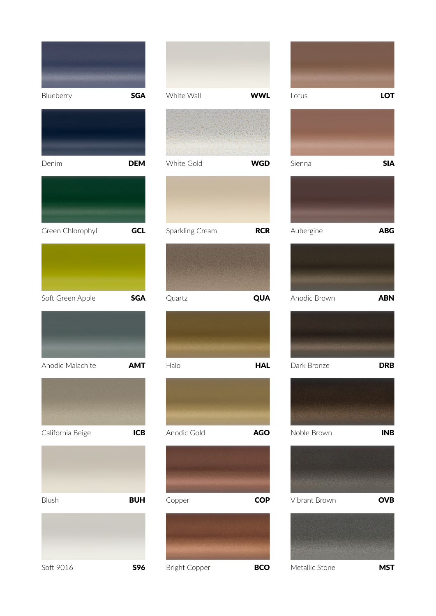| Blueberry         | <b>SGA</b> |
|-------------------|------------|
|                   |            |
| Denim             | <b>DEM</b> |
|                   |            |
| Green Chlorophyll | GCL        |
|                   |            |
| Soft Green Apple  | <b>SGA</b> |
|                   |            |
| Anodic Malachite  | AM I       |
|                   |            |
| California Beige  | <b>ICB</b> |
|                   |            |
| Blush             | <b>BUH</b> |
|                   |            |
| Soft 9016         | <b>S96</b> |

| White Wall           | <b>WWL</b> |
|----------------------|------------|
|                      |            |
| White Gold           | <b>WGD</b> |
|                      |            |
| Sparkling Cream      | <b>RCR</b> |
|                      |            |
| Quartz               | QUA        |
|                      |            |
| Halo                 | <b>HAL</b> |
|                      |            |
| Anodic Gold          | <b>AGO</b> |
|                      |            |
| Copper               | <b>COP</b> |
|                      |            |
| <b>Bright Copper</b> | <b>BCO</b> |





Metallic Stone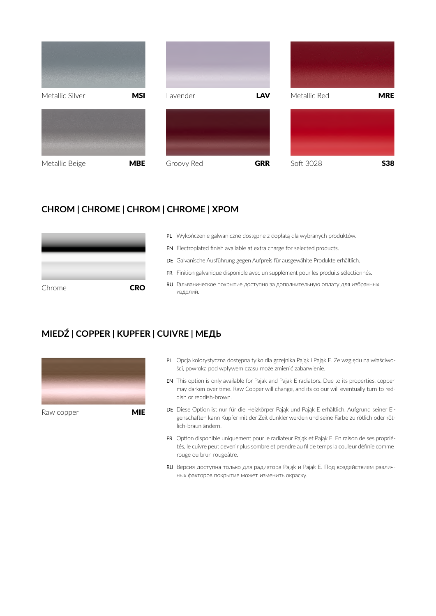

#### **CHROM | CHROME | CHROM | CHROME | ХРОМ**

| Chrome | <b>CRO</b> |
|--------|------------|

- PL Wykończenie galwaniczne dostępne z dopłatą dla wybranych produktów.
- EN Electroplated finish available at extra charge for selected products.
- DE Galvanische Ausführung gegen Aufpreis für ausgewählte Produkte erhältlich.
- FR Finition galvanique disponible avec un supplément pour les produits sélectionnés.
- RU Гальваническое покрытие доступно за дополнительную оплату для избранных изделий.

### **MIEDŹ | COPPER | KUPFER | CUIVRE | МЕДЬ**



- PL Opcja kolorystyczna dostępna tylko dla grzejnika Pająk i Pająk E. Ze względu na właściwości, powłoka pod wpływem czasu może zmienić zabarwienie.
- EN This option is only available for Pajak and Pajak E radiators. Due to its properties, copper may darken over time. Raw Copper will change, and its colour will eventually turn to reddish or reddish-brown.
- DE Diese Option ist nur für die Heizkörper Pająk und Pająk E erhältlich. Aufgrund seiner Eigenschaften kann Kupfer mit der Zeit dunkler werden und seine Farbe zu rötlich oder rötlich-braun ändern.
- FR Option disponible uniquement pour le radiateur Pająk et Pająk E. En raison de ses propriétés, le cuivre peut devenir plus sombre et prendre au fil de temps la couleur définie comme rouge ou brun rougeâtre.
- RU Версия доступна только для радиатора Pająk и Pająk E. Под воздействием различных факторов покрытие может изменить окраску.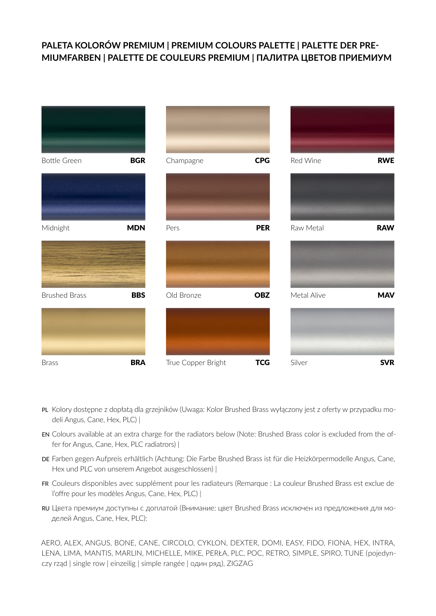#### **PALETA KOLORÓW PREMIUM | PREMIUM COLOURS PALETTE | PALETTE DER PRE-MIUMFARBEN | PALETTE DE COULEURS PREMIUM | ПАЛИТРА ЦВЕТОВ ПРИЕМИУМ**



- PL Kolory dostępne z dopłatą dla grzejników (Uwaga: Kolor Brushed Brass wyłączony jest z oferty w przypadku modeli Angus, Cane, Hex, PLC) |
- EN Colours available at an extra charge for the radiators below (Note: Brushed Brass color is excluded from the offer for Angus, Cane, Hex, PLC radiatrors) |
- DE Farben gegen Aufpreis erhältlich (Achtung: Die Farbe Brushed Brass ist für die Heizkörpermodelle Angus, Cane, Hex und PLC von unserem Angebot ausgeschlossen) |
- FR Couleurs disponibles avec supplément pour les radiateurs (Remarque : La couleur Brushed Brass est exclue de l'offre pour les modèles Angus, Cane, Hex, PLC) |
- RU Цвета премиум доступны с доплатой (Внимание: цвет Brushed Brass исключен из предложения для моделей Angus, Cane, Hex, PLC):

AERO, ALEX, ANGUS, BONE, CANE, CIRCOLO, CYKLON, DEXTER, DOMI, EASY, FIDO, FIONA, HEX, INTRA, LENA, LIMA, MANTIS, MARLIN, MICHELLE, MIKE, PERŁA, PLC, POC, RETRO, SIMPLE, SPIRO, TUNE ( pojedynczy rząd | single row | einzeilig | simple rangée | один ряд ), ZIGZAG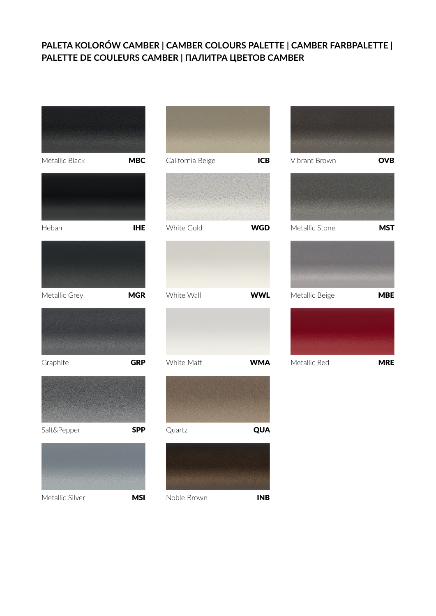#### **PALETA KOLORÓW CAMBER | CAMBER COLOURS PALETTE | CAMBER FARBPALETTE | PALETTE DE COULEURS CAMBER | ПАЛИТРА ЦВЕТОВ CAMBER**









Noble Brown **INB**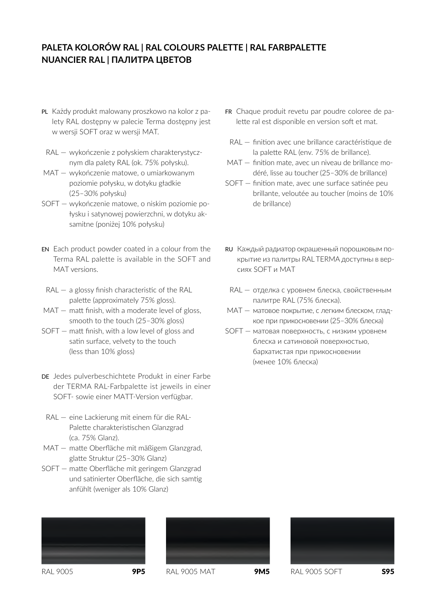#### **PALETA KOLORÓW RAL | RAL COLOURS PALETTE | RAL FARBPALETTE NUANCIER RAL | ПАЛИТРА ЦВЕТОВ**

- PL Każdy produkt malowany proszkowo na kolor z palety RAL dostępny w palecie Terma dostępny jest w wersji SOFT oraz w wersji MAT.
- RAL wykończenie z połyskiem charakterystycznym dla palety RAL (ok. 75% połysku).
- MAT wykończenie matowe, o umiarkowanym poziomie połysku, w dotyku gładkie (25–30% połysku)
- SOFT wykończenie matowe, o niskim poziomie połysku i satynowej powierzchni, w dotyku aksamitne (poniżej 10% połysku)
- EN Each product powder coated in a colour from the Terma RAL palette is available in the SOFT and MAT versions.
- $RAL a$  glossy finish characteristic of the RAL palette (approximately 75% gloss).
- MAT matt finish, with a moderate level of gloss, smooth to the touch (25–30% gloss)
- SOFT matt finish, with a low level of gloss and satin surface, velvety to the touch (less than 10% gloss)
- DE Jedes pulverbeschichtete Produkt in einer Farbe der TERMA RAL-Farbpalette ist jeweils in einer SOFT- sowie einer MATT-Version verfügbar.
	- RAL eine Lackierung mit einem für die RAL-Palette charakteristischen Glanzgrad (ca. 75% Glanz).
- MAT matte Oberfläche mit mäßigem Glanzgrad, glatte Struktur (25–30% Glanz)
- SOFT matte Oberfläche mit geringem Glanzgrad und satinierter Oberfläche, die sich samtig anfühlt (weniger als 10% Glanz)
- FR Chaque produit revetu par poudre coloree de palette ral est disponible en version soft et mat.
- RAL finition avec une brillance caractéristique de la palette RAL (env. 75% de brillance).
- MAT finition mate, avec un niveau de brillance modéré, lisse au toucher (25–30% de brillance)
- SOFT finition mate, avec une surface satinée peu brillante, veloutée au toucher (moins de 10% de brillance)
- RU Каждый радиатор окрашенный порошковым покрытие из палитры RAL TERMA доступны в версиях SOFT и MAT
- RAL отделка с уровнем блеска, свойственным палитре RAL (75% блеска).
- MAT матовое покрытие, с легким блеском, гладкое при прикосновении (25–30% блеска)
- SOFT матовая поверхность, с низким уровнем блеска и сатиновой поверхностью, бархатистая при прикосновении (менее 10% блеска)







RAL 9005 **9P5** RAL 9005 MAT **9M5** RAL 9005 SOFT **S95**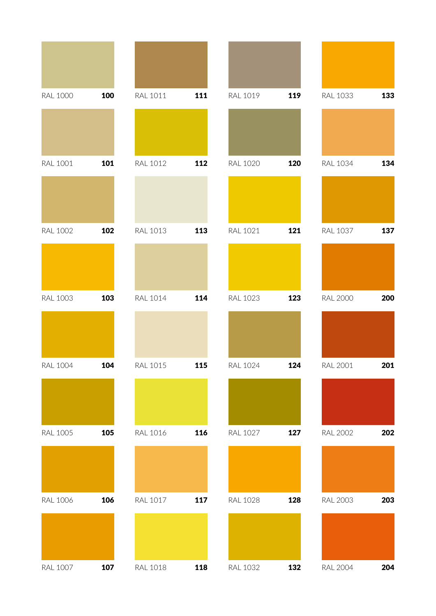| <b>RAL 1000</b> | 100 | RAL 1011        | 111 | RAL 1019        | 119 | <b>RAL 1033</b> | 133 |
|-----------------|-----|-----------------|-----|-----------------|-----|-----------------|-----|
|                 |     |                 |     |                 |     |                 |     |
| <b>RAL 1001</b> | 101 | <b>RAL 1012</b> | 112 | <b>RAL 1020</b> | 120 | <b>RAL 1034</b> | 134 |
|                 |     |                 |     |                 |     |                 |     |
| <b>RAL 1002</b> | 102 | <b>RAL 1013</b> | 113 | <b>RAL 1021</b> | 121 | <b>RAL 1037</b> | 137 |
|                 |     |                 |     |                 |     |                 |     |
| <b>RAL 1003</b> | 103 | <b>RAL 1014</b> | 114 | <b>RAL 1023</b> | 123 | <b>RAL 2000</b> | 200 |
|                 |     |                 |     |                 |     |                 |     |
| <b>RAL 1004</b> | 104 | <b>RAL 1015</b> | 115 | <b>RAL 1024</b> | 124 | <b>RAL 2001</b> | 201 |
|                 |     |                 |     |                 |     |                 |     |
| <b>RAL 1005</b> | 105 | <b>RAL 1016</b> | 116 | <b>RAL 1027</b> | 127 | <b>RAL 2002</b> | 202 |
|                 |     |                 |     |                 |     |                 |     |
| <b>RAL 1006</b> | 106 | <b>RAL 1017</b> | 117 | <b>RAL 1028</b> | 128 | <b>RAL 2003</b> | 203 |
|                 |     |                 |     |                 |     |                 |     |
| <b>RAL 1007</b> | 107 | <b>RAL 1018</b> | 118 | <b>RAL 1032</b> | 132 | <b>RAL 2004</b> | 204 |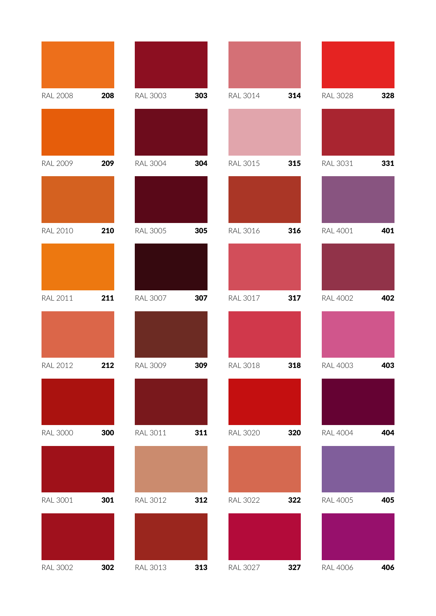| <b>RAL 2008</b> | 208 | <b>RAL 3003</b> | 303 | <b>RAL 3014</b> | 314 | <b>RAL 3028</b> | 328 |
|-----------------|-----|-----------------|-----|-----------------|-----|-----------------|-----|
|                 |     |                 |     |                 |     |                 |     |
| <b>RAL 2009</b> | 209 | <b>RAL 3004</b> | 304 | <b>RAL 3015</b> | 315 | <b>RAL 3031</b> | 331 |
|                 |     |                 |     |                 |     |                 |     |
| <b>RAL 2010</b> | 210 | <b>RAL 3005</b> | 305 | <b>RAL 3016</b> | 316 | <b>RAL 4001</b> | 401 |
|                 |     |                 |     |                 |     |                 |     |
| <b>RAL 2011</b> | 211 | <b>RAL 3007</b> | 307 | <b>RAL 3017</b> | 317 | <b>RAL 4002</b> | 402 |
|                 |     |                 |     |                 |     |                 |     |
| <b>RAL 2012</b> | 212 | <b>RAL 3009</b> | 309 | <b>RAL 3018</b> | 318 | <b>RAL 4003</b> | 403 |
|                 |     |                 |     |                 |     |                 |     |
| <b>RAL 3000</b> | 300 | RAL 3011        | 311 | <b>RAL 3020</b> | 320 | <b>RAL 4004</b> | 404 |
|                 |     |                 |     |                 |     |                 |     |
| <b>RAL 3001</b> | 301 | <b>RAL 3012</b> | 312 | <b>RAL 3022</b> | 322 | <b>RAL 4005</b> | 405 |
|                 |     |                 |     |                 |     |                 |     |
| <b>RAL 3002</b> | 302 | <b>RAL 3013</b> | 313 | <b>RAL 3027</b> | 327 | <b>RAL 4006</b> | 406 |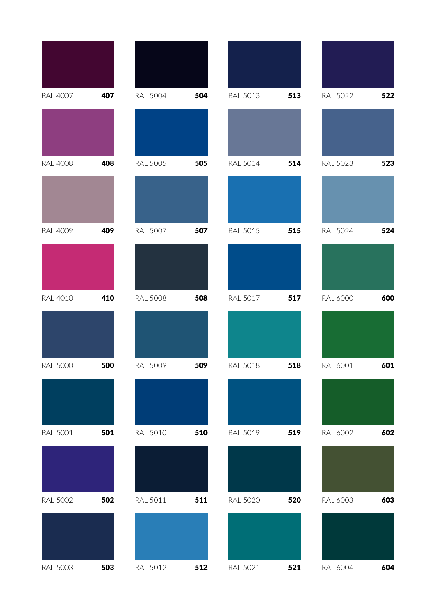| <b>RAL 4007</b> | 407 | <b>RAL 5004</b> | 504 | <b>RAL 5013</b> | 513 | <b>RAL 5022</b> | 522 |
|-----------------|-----|-----------------|-----|-----------------|-----|-----------------|-----|
|                 |     |                 |     |                 |     |                 |     |
| <b>RAL 4008</b> | 408 | <b>RAL 5005</b> | 505 | <b>RAL 5014</b> | 514 | <b>RAL 5023</b> | 523 |
|                 |     |                 |     |                 |     |                 |     |
| <b>RAL 4009</b> | 409 | <b>RAL 5007</b> | 507 | <b>RAL 5015</b> | 515 | <b>RAL 5024</b> | 524 |
|                 |     |                 |     |                 |     |                 |     |
| <b>RAL 4010</b> | 410 | <b>RAL 5008</b> | 508 | <b>RAL 5017</b> | 517 | <b>RAL 6000</b> | 600 |
|                 |     |                 |     |                 |     |                 |     |
| <b>RAL 5000</b> | 500 | <b>RAL 5009</b> | 509 | <b>RAL 5018</b> | 518 | RAL 6001        | 601 |
|                 |     |                 |     |                 |     |                 |     |
| <b>RAL 5001</b> | 501 | <b>RAL 5010</b> | 510 | RAL 5019        | 519 | RAL 6002        | 602 |
|                 |     |                 |     |                 |     |                 |     |
| <b>RAL 5002</b> | 502 | <b>RAL 5011</b> | 511 | <b>RAL 5020</b> | 520 | RAL 6003        | 603 |
|                 |     |                 |     |                 |     |                 |     |
| <b>RAL 5003</b> | 503 | <b>RAL 5012</b> | 512 | <b>RAL 5021</b> | 521 | <b>RAL 6004</b> | 604 |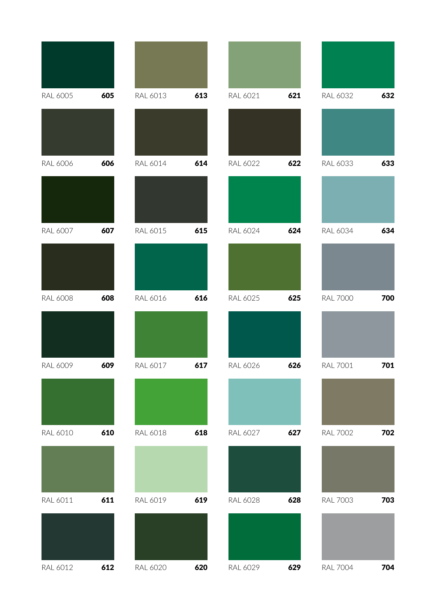| <b>RAL 6005</b> | 605 | RAL 6013        | 613 | RAL 6021        | 621 | RAL 6032        | 632 |
|-----------------|-----|-----------------|-----|-----------------|-----|-----------------|-----|
|                 |     |                 |     |                 |     |                 |     |
| <b>RAL 6006</b> | 606 | RAL 6014        | 614 | <b>RAL 6022</b> | 622 | RAL 6033        | 633 |
|                 |     |                 |     |                 |     |                 |     |
| <b>RAL 6007</b> | 607 | RAL 6015        | 615 | RAL 6024        | 624 | RAL 6034        | 634 |
|                 |     |                 |     |                 |     |                 |     |
| <b>RAL 6008</b> | 608 | <b>RAL 6016</b> | 616 | RAL 6025        | 625 | <b>RAL 7000</b> | 700 |
|                 |     |                 |     |                 |     |                 |     |
| <b>RAL 6009</b> | 609 | RAL 6017        | 617 | RAL 6026        | 626 | <b>RAL 7001</b> | 701 |
|                 |     |                 |     |                 |     |                 |     |
| RAL 6010        | 610 | RAL 6018        | 618 | RAL 6027        | 627 | <b>RAL 7002</b> | 702 |
|                 |     |                 |     |                 |     |                 |     |
| RAL 6011        | 611 | RAL 6019        | 619 | <b>RAL 6028</b> | 628 | <b>RAL 7003</b> | 703 |
|                 |     |                 |     |                 |     |                 |     |
| RAL 6012        | 612 | <b>RAL 6020</b> | 620 | RAL 6029        | 629 | <b>RAL 7004</b> | 704 |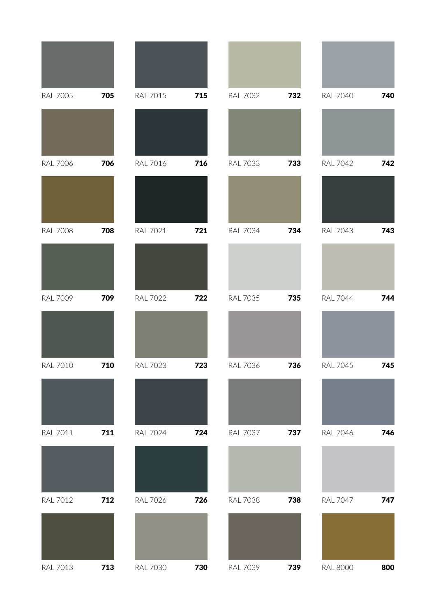| <b>RAL 7005</b> | 705 | <b>RAL 7015</b> | 715 | <b>RAL 7032</b> | 732 | <b>RAL 7040</b> | 740 |
|-----------------|-----|-----------------|-----|-----------------|-----|-----------------|-----|
|                 |     |                 |     |                 |     |                 |     |
| <b>RAL 7006</b> | 706 | <b>RAL 7016</b> | 716 | <b>RAL 7033</b> | 733 | <b>RAL 7042</b> | 742 |
|                 |     |                 |     |                 |     |                 |     |
| <b>RAL 7008</b> | 708 | <b>RAL 7021</b> | 721 | <b>RAL 7034</b> | 734 | <b>RAL 7043</b> | 743 |
|                 |     |                 |     |                 |     |                 |     |
| <b>RAL 7009</b> | 709 | <b>RAL 7022</b> | 722 | <b>RAL 7035</b> | 735 | <b>RAL 7044</b> | 744 |
|                 |     |                 |     |                 |     |                 |     |
| <b>RAL 7010</b> | 710 | <b>RAL 7023</b> | 723 | <b>RAL 7036</b> | 736 | <b>RAL 7045</b> | 745 |
|                 |     |                 |     |                 |     |                 |     |
| <b>RAL 7011</b> | 711 | <b>RAL 7024</b> | 724 | <b>RAL 7037</b> | 737 | <b>RAL 7046</b> | 746 |
|                 |     |                 |     |                 |     |                 |     |
| <b>RAL 7012</b> | 712 | <b>RAL 7026</b> | 726 | <b>RAL 7038</b> | 738 | <b>RAL 7047</b> | 747 |
|                 |     |                 |     |                 |     |                 |     |
| <b>RAL 7013</b> | 713 | <b>RAL 7030</b> | 730 | <b>RAL 7039</b> | 739 | <b>RAL 8000</b> | 800 |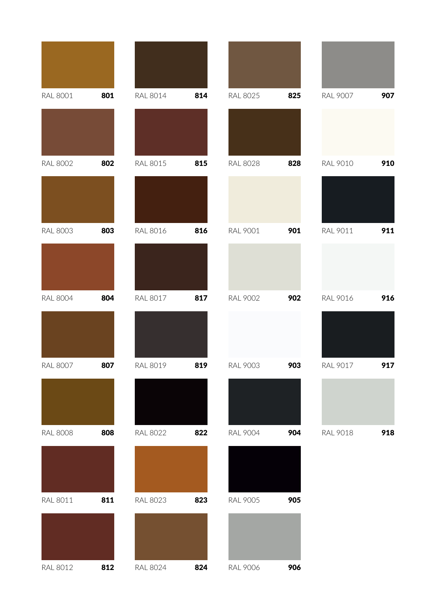| <b>RAL 8001</b> | 801 | <b>RAL 8014</b> | 814 | <b>RAL 8025</b> | 825 | <b>RAL 9007</b> | 907 |
|-----------------|-----|-----------------|-----|-----------------|-----|-----------------|-----|
|                 |     |                 |     |                 |     |                 |     |
| <b>RAL 8002</b> | 802 | <b>RAL 8015</b> | 815 | <b>RAL 8028</b> | 828 | <b>RAL 9010</b> | 910 |
|                 |     |                 |     |                 |     |                 |     |
| <b>RAL 8003</b> | 803 | <b>RAL 8016</b> | 816 | <b>RAL 9001</b> | 901 | RAL 9011        | 911 |
|                 |     |                 |     |                 |     |                 |     |
| <b>RAL 8004</b> | 804 | <b>RAL 8017</b> | 817 | <b>RAL 9002</b> | 902 | <b>RAL 9016</b> | 916 |
|                 |     |                 |     |                 |     |                 |     |
| <b>RAL 8007</b> | 807 | <b>RAL 8019</b> | 819 | <b>RAL 9003</b> | 903 | <b>RAL 9017</b> | 917 |
|                 |     |                 |     |                 |     |                 |     |
| <b>RAL 8008</b> | 808 | <b>RAL 8022</b> | 822 | <b>RAL 9004</b> | 904 | <b>RAL 9018</b> | 918 |
|                 |     |                 |     |                 |     |                 |     |
| <b>RAL 8011</b> | 811 | <b>RAL 8023</b> | 823 | <b>RAL 9005</b> | 905 |                 |     |
|                 |     |                 |     |                 |     |                 |     |
| <b>RAL 8012</b> | 812 | <b>RAL 8024</b> | 824 | <b>RAL 9006</b> | 906 |                 |     |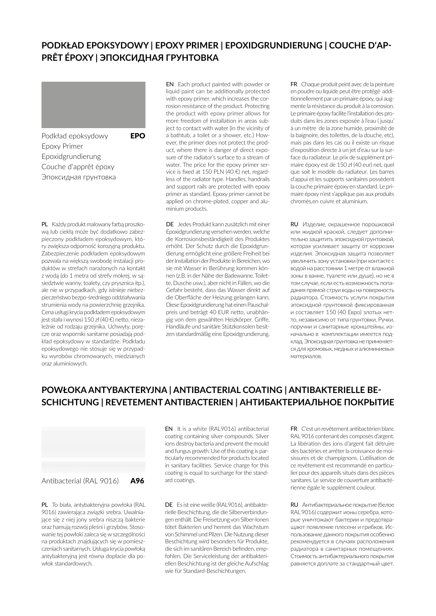#### **PODKŁAD EPOKSYDOWY | EPOXY PRIMER | EPOXIDGRUNDIERUNG | COUCHE D'AP-PRÊT ÉPOXY | ЭПОКСИДНАЯ ГРУНТОВКА**

EN Each product painted with powder or



Podkład epoksydowy **EPO** Epoxy Primer Epoxidgrundierung Couche d'apprêt époxy Эпоксидная грунтовка

liquid paint can be additionally protected with epoxy primer, which increases the corrosion resistance of the product. Protecting the product with epoxy primer allows for more freedom of installation in areas subject to contact with water (in the vicinity of a bathtub, a toilet or a shower, etc.) However, the primer does not protect the product, where there is danger of direct exposure of the radiator's surface to a stream of water. The price for the epoxy primer service is fixed at 150 PLN (40 €) net, regardless of the radiator type. Handles, handrails and support rails are protected with epoxy primer as standard. Epoxy primer cannot be applied on chrome-plated, copper and aluminium products.

PL Każdy produkt malowany farbą proszkową lub ciekłą może być dodatkowo zabezpieczony podkładem epoksydowym, który zwiększa odporność korozyjną produktu. Zabezpieczenie podkładem epoksydowym pozwala na większą swobodę instalacji produktów w strefach narażonych na kontakt z wodą (do 1 metra od strefy mokrej, w sąsiedztwie wanny, toalety, czy prysznica itp.), ale nie w przypadkach, gdy istnieje niebezpieczeństwo bezpo-średniego oddziaływania strumienia wody na powierzchnię grzejnika. Cena usługi krycia podkładem epoksydowym jest stała i wynosi 150 zł (40 €) netto, niezależnie od rodzaju grzejnika. Uchwyty, poręcze oraz wsporniki sanitarne posiadają podkład epoksydowy w standardzie. Podkładu DE Jedes Produkt kann zusätzlich mit einer Epoxidgrundierung versehen werden, welche die Korrosionsbeständigkeit des Produktes erhöht. Der Schutz durch die Epoxidgrundierung ermöglicht eine größere Freiheit bei der Installation der Produkte in Bereichen, wo sie mit Wasser in Berührung kommen können (z.B. in der Nähe der Badewanne, Toilette, Dusche usw.), aber nicht in Fällen, wo die Gefahr besteht, dass das Wasser direkt auf die Oberfläche der Heizung gelangen kann. Diese Epoxidgrundierung hat einen Pauschalpreis und beträgt 40 EUR netto, unabhängig von dem gewählten Heizkörper. Griffe, Handläufe und sanitäre Stützkonsolen besitzen standardmäßig eine Epoxidgrundierung.

FR Chaque produit peint avec de la peinture en poudre ou liquide peut être protégé additionnellement par un primaire époxy, qui augmente la résistance du produit à la corrosion. Le primaire époxy facilite l'installation des produits dans les zones exposée à l'eau ( jusqu' à un mètre de la zone humide, proximité de la baignoire, des toilettes, de la douche, etc), mais pas dans les cas ou il existe un risque d'exposition directe à un jet d'eau sur la surface du radiateur. Le prix de supplément primaire époxy est de 150 zł (40 eur) net, quel que soit le modèle du radiateur. Les barres d'appui et les supports sanitaires possèdent la couche primaire époxy en standard. Le primaire époxy n'est s'applique pas aux produits chromés,en cuivre et aluminium.

RU Изделие, окрашенное порошковой или жидкой краской, следует дополнительно защитить эпоксидной грунтовкой, которая усиливает защиту от коррозии изделия. Эпоксидная защита позволяет увеличить зону установки (при контакте с водой на расстоянии 1 метре от влажной зоны в ванне, туалете или душе), но не в том случае, если есть возможность попадания прямой струи воды на поверхность радиатора. Стоимость услуги покрытия эпоксидной грунтовкой фиксированная и составляет 150 (40 Евро) злотых нетто, независимо от типа грунтовки. Ручки, поручни и санитарные кронштейны, изначально в комплектации имеется подклад. Эпоксидная грунтовка не применяется для хромовых, медных и алюминиевых материалов.

#### **POWŁOKA ANTYBAKTERYJNA | ANTIBACTERIAL COATING | ANTIBAKTERIELLE BE-SCHICHTUNG | REVETEMENT ANTIBACTERIEN | АНТИБАКТЕРИАЛЬНОЕ ПОКРЫТИЕ**

Antibacterial (RAL 9016) A96

epoksydowego nie stosuje się w przypadku wyrobów chromowanych, miedzianych

oraz aluminiowych.

PL To biała, antybakteryjna powłoka (RAL 9016) zawierająca związki srebra. Uwalniające się z niej jony srebra niszczą bakterie oraz hamują rozwój pleśni i grzybów. Stosowanie tej powłoki zaleca się w szczególności na produktach znajdujących się w pomieszczeniach sanitarnych. Usługa krycia powłoką antybakteryjną jest równa dopłacie dla powłok standardowych.

EN It is a white (RAL9016) antibacterial coating containing silver compounds. Silver ions destroy bacteria and prevent the mould and fungus growth. Use of this coating is particularly recommended for products located in sanitary facilities. Service charge for this coating is equal to surcharge for the standard coatings.

DE Es ist eine weiße (RAL9016), antibakterielle Beschichtung, die die Silberverbindungen enthält. Die Freisetzung von Silber-Ionen tötet Bakterien und hemmt das Wachstum von Schimmel und Pilzen. Die Nutzung dieser Beschichtung wird besonders für Produkte, die sich im sanitären Bereich befinden, empfohlen. Die Serviceleistung der antibakteriellen Beschichtung ist der gleiche Aufschlag wie für Standard-Beschichtungen.

FR C'est un revêtement antibactérien blanc RAL 9016 contenant des composés d'argent. La libération des ions d'argent fait détruire des bactéries et arrêter la croissance de moisissures et de champignons. L'utilisation de ce revêtement est recommandé en particulier pour des appareils situés dans des pièces sanitares. Le service de couverture antibactérienne égale le supplément couleur.

RU Антибактериальное покрытие (белое RAL 9016) содержит ионы серебра, которые уничтожают бактерии и предотвращают появление плесени и грибков. Использование данного покрытия особенно рекомендуется в случаях расположения радиатора в санитарных помещениях. Стоимость антибактериального покрытия равняется доплате за стандартный цвет.